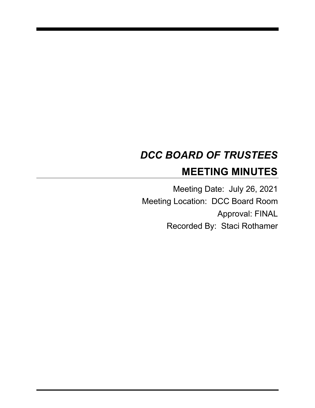# *DCC BOARD OF TRUSTEES* **MEETING MINUTES**

Meeting Date: July 26, 2021 Meeting Location: DCC Board Room Approval: FINAL Recorded By: Staci Rothamer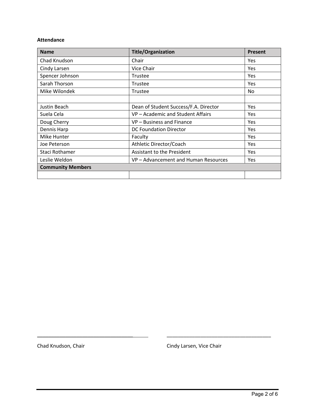#### **Attendance**

| <b>Name</b>              | <b>Title/Organization</b>             | <b>Present</b> |
|--------------------------|---------------------------------------|----------------|
| Chad Knudson             | Chair                                 | Yes            |
| Cindy Larsen             | Vice Chair                            | <b>Yes</b>     |
| Spencer Johnson          | Trustee                               | Yes            |
| Sarah Thorson            | Trustee                               | Yes            |
| Mike Wilondek            | Trustee                               | No.            |
|                          |                                       |                |
| Justin Beach             | Dean of Student Success/F.A. Director | Yes            |
| Suela Cela               | VP - Academic and Student Affairs     | Yes            |
| Doug Cherry              | VP - Business and Finance             | Yes            |
| Dennis Harp              | <b>DC Foundation Director</b>         | Yes            |
| Mike Hunter              | Faculty                               | Yes            |
| Joe Peterson             | Athletic Director/Coach               | Yes            |
| Staci Rothamer           | Assistant to the President            | Yes            |
| Leslie Weldon            | VP - Advancement and Human Resources  | <b>Yes</b>     |
| <b>Community Members</b> |                                       |                |
|                          |                                       |                |

Chad Knudson, Chair Chair Chad Knudson, Chair

\_\_\_\_\_\_\_\_\_\_\_\_\_\_\_\_\_\_\_\_\_\_\_\_\_\_\_\_\_\_\_\_\_\_ \_\_\_\_\_\_\_\_\_\_\_\_\_\_\_\_\_\_\_\_\_\_\_\_\_\_\_\_\_\_\_\_\_\_\_\_\_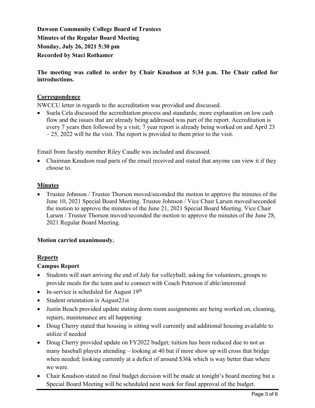**Dawson Community College Board of Trustees Minutes of the Regular Board Meeting Monday, July 26, 2021 5:30 pm Recorded by Staci Rothamer**

**The meeting was called to order by Chair Knudson at 5:34 p.m. The Chair called for introductions.**

## **Correspondence**

NWCCU letter in regards to the accreditation was provided and discussed.

• Suela Cela discussed the accreditation process and standards; more explanation on low cash flow and the issues that are already being addressed was part of the report. Accreditation is every 7 years then followed by a visit; 7 year report is already being worked on and April 23  $-25$ , 2022 will be the visit. The report is provided to them prior to the visit.

Email from faculty member Riley Caudle was included and discussed.

• Chairman Knudson read parts of the email received and stated that anyone can view it if they choose to.

#### **Minutes**

• Trustee Johnson / Trustee Thorson moved/seconded the motion to approve the minutes of the June 10, 2021 Special Board Meeting. Trustee Johnson / Vice Chair Larsen moved/seconded the motion to approve the minutes of the June 21, 2021 Special Board Meeting. Vice Chair Larsen / Trustee Thorson moved/seconded the motion to approve the minutes of the June 28, 2021 Regular Board Meeting.

#### **Motion carried unanimously.**

# **Reports**

# **Campus Report**

- Students will start arriving the end of July for volleyball; asking for volunteers, groups to provide meals for the team and to connect with Coach Peterson if able/interested
- In-service is scheduled for August  $19<sup>th</sup>$
- Student orientation is August21st
- Justin Beach provided update stating dorm room assignments are being worked on, cleaning, repairs, maintenance are all happening
- Doug Cherry stated that housing is sitting well currently and additional housing available to utilize if needed
- Doug Cherry provided update on FY2022 budget; tuition has been reduced due to not as many baseball players attending – looking at 40 but if more show up will cross that bridge when needed; looking currently at a deficit of around \$36k which is way better than where we were.
- Chair Knudson stated no final budget decision will be made at tonight's board meeting but a Special Board Meeting will be scheduled next week for final approval of the budget.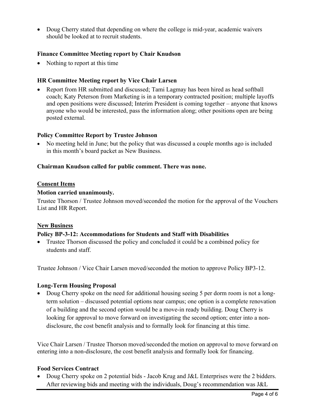• Doug Cherry stated that depending on where the college is mid-year, academic waivers should be looked at to recruit students.

## **Finance Committee Meeting report by Chair Knudson**

• Nothing to report at this time

## **HR Committee Meeting report by Vice Chair Larsen**

• Report from HR submitted and discussed; Tami Lagmay has been hired as head softball coach; Katy Peterson from Marketing is in a temporary contracted position; multiple layoffs and open positions were discussed; Interim President is coming together – anyone that knows anyone who would be interested, pass the information along; other positions open are being posted external.

#### **Policy Committee Report by Trustee Johnson**

• No meeting held in June; but the policy that was discussed a couple months ago is included in this month's board packet as New Business.

## **Chairman Knudson called for public comment. There was none.**

#### **Consent Items**

## **Motion carried unanimously.**

Trustee Thorson / Trustee Johnson moved/seconded the motion for the approval of the Vouchers List and HR Report.

#### **New Business**

#### **Policy BP-3-12: Accommodations for Students and Staff with Disabilities**

• Trustee Thorson discussed the policy and concluded it could be a combined policy for students and staff.

Trustee Johnson / Vice Chair Larsen moved/seconded the motion to approve Policy BP3-12.

#### **Long-Term Housing Proposal**

• Doug Cherry spoke on the need for additional housing seeing 5 per dorm room is not a longterm solution – discussed potential options near campus; one option is a complete renovation of a building and the second option would be a move-in ready building. Doug Cherry is looking for approval to move forward on investigating the second option; enter into a nondisclosure, the cost benefit analysis and to formally look for financing at this time.

Vice Chair Larsen / Trustee Thorson moved/seconded the motion on approval to move forward on entering into a non-disclosure, the cost benefit analysis and formally look for financing.

#### **Food Services Contract**

• Doug Cherry spoke on 2 potential bids - Jacob Krug and J&L Enterprises were the 2 bidders. After reviewing bids and meeting with the individuals, Doug's recommendation was J&L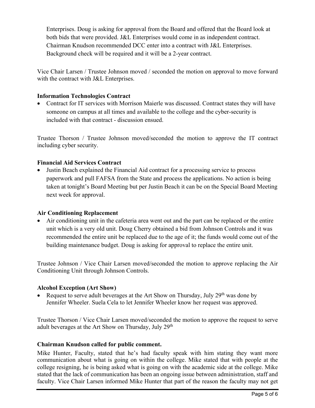Enterprises. Doug is asking for approval from the Board and offered that the Board look at both bids that were provided. J&L Enterprises would come in as independent contract. Chairman Knudson recommended DCC enter into a contract with J&L Enterprises. Background check will be required and it will be a 2-year contract.

Vice Chair Larsen / Trustee Johnson moved / seconded the motion on approval to move forward with the contract with J&L Enterprises.

# **Information Technologies Contract**

• Contract for IT services with Morrison Maierle was discussed. Contract states they will have someone on campus at all times and available to the college and the cyber-security is included with that contract - discussion ensued.

Trustee Thorson / Trustee Johnson moved/seconded the motion to approve the IT contract including cyber security.

# **Financial Aid Services Contract**

• Justin Beach explained the Financial Aid contract for a processing service to process paperwork and pull FAFSA from the State and process the applications. No action is being taken at tonight's Board Meeting but per Justin Beach it can be on the Special Board Meeting next week for approval.

# **Air Conditioning Replacement**

• Air conditioning unit in the cafeteria area went out and the part can be replaced or the entire unit which is a very old unit. Doug Cherry obtained a bid from Johnson Controls and it was recommended the entire unit be replaced due to the age of it; the funds would come out of the building maintenance budget. Doug is asking for approval to replace the entire unit.

Trustee Johnson / Vice Chair Larsen moved/seconded the motion to approve replacing the Air Conditioning Unit through Johnson Controls.

# **Alcohol Exception (Art Show)**

• Request to serve adult beverages at the Art Show on Thursday, July  $29<sup>th</sup>$  was done by Jennifer Wheeler. Suela Cela to let Jennifer Wheeler know her request was approved.

Trustee Thorson / Vice Chair Larsen moved/seconded the motion to approve the request to serve adult beverages at the Art Show on Thursday, July 29th

# **Chairman Knudson called for public comment.**

Mike Hunter, Faculty, stated that he's had faculty speak with him stating they want more communication about what is going on within the college. Mike stated that with people at the college resigning, he is being asked what is going on with the academic side at the college. Mike stated that the lack of communication has been an ongoing issue between administration, staff and faculty. Vice Chair Larsen informed Mike Hunter that part of the reason the faculty may not get